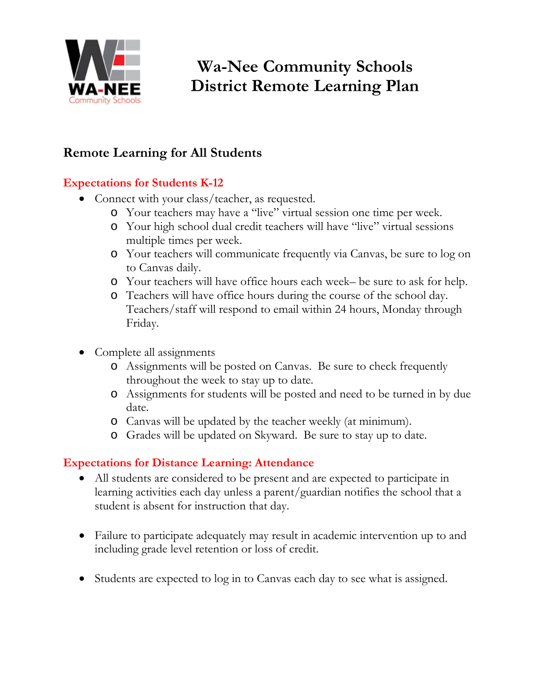

## **Remote Learning for All Students**

## **Expectations for Students K-12**

- Connect with your class/teacher, as requested.
	- o Your teachers may have a "live" virtual session one time per week.
	- o Your high school dual credit teachers will have "live" virtual sessions multiple times per week.
	- o Your teachers will communicate frequently via Canvas, be sure to log on to Canvas daily.
	- o Your teachers will have office hours each week– be sure to ask for help.
	- o Teachers will have office hours during the course of the school day. Teachers/staff will respond to email within 24 hours, Monday through Friday.
- Complete all assignments
	- o Assignments will be posted on Canvas. Be sure to check frequently throughout the week to stay up to date.
	- o Assignments for students will be posted and need to be turned in by due date.
	- o Canvas will be updated by the teacher weekly (at minimum).
	- o Grades will be updated on Skyward. Be sure to stay up to date.

## **Expectations for Distance Learning: Attendance**

- All students are considered to be present and are expected to participate in learning activities each day unless a parent/guardian notifies the school that a student is absent for instruction that day.
- Failure to participate adequately may result in academic intervention up to and including grade level retention or loss of credit.
- Students are expected to log in to Canvas each day to see what is assigned.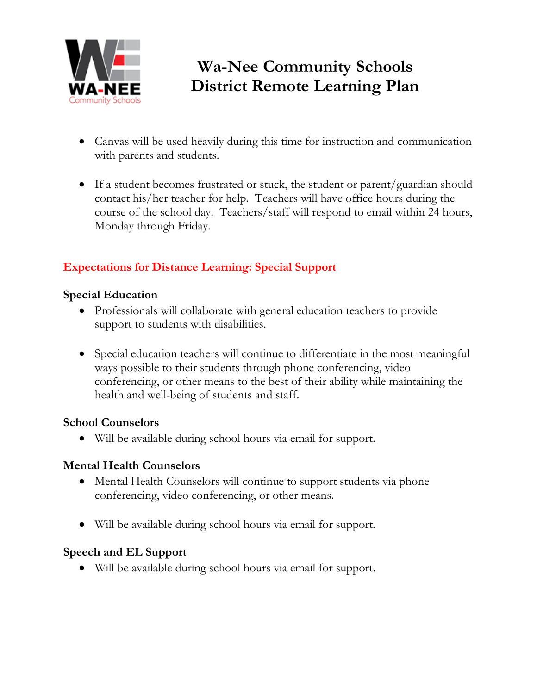

- Canvas will be used heavily during this time for instruction and communication with parents and students.
- If a student becomes frustrated or stuck, the student or parent/guardian should contact his/her teacher for help. Teachers will have office hours during the course of the school day. Teachers/staff will respond to email within 24 hours, Monday through Friday.

## **Expectations for Distance Learning: Special Support**

### **Special Education**

- Professionals will collaborate with general education teachers to provide support to students with disabilities.
- Special education teachers will continue to differentiate in the most meaningful ways possible to their students through phone conferencing, video conferencing, or other means to the best of their ability while maintaining the health and well-being of students and staff.

### **School Counselors**

• Will be available during school hours via email for support.

### **Mental Health Counselors**

- Mental Health Counselors will continue to support students via phone conferencing, video conferencing, or other means.
- Will be available during school hours via email for support.

## **Speech and EL Support**

• Will be available during school hours via email for support.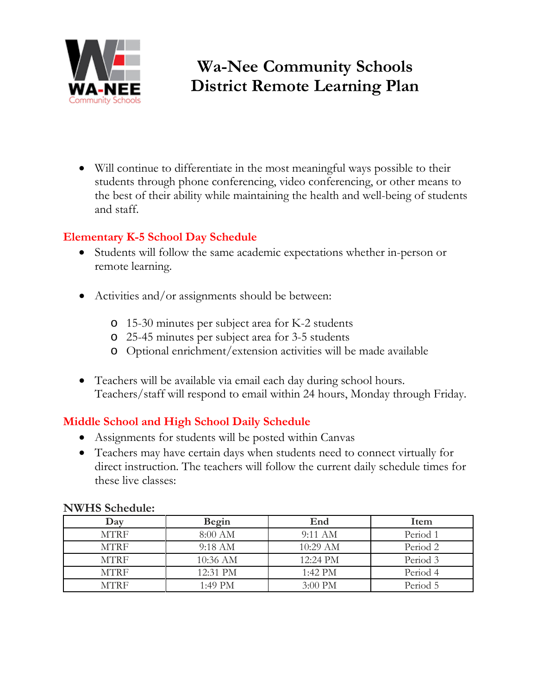

• Will continue to differentiate in the most meaningful ways possible to their students through phone conferencing, video conferencing, or other means to the best of their ability while maintaining the health and well-being of students and staff.

### **Elementary K-5 School Day Schedule**

- Students will follow the same academic expectations whether in-person or remote learning.
- Activities and/or assignments should be between:
	- o 15-30 minutes per subject area for K-2 students
	- o 25-45 minutes per subject area for 3-5 students
	- o Optional enrichment/extension activities will be made available
- Teachers will be available via email each day during school hours. Teachers/staff will respond to email within 24 hours, Monday through Friday.

### **Middle School and High School Daily Schedule**

- Assignments for students will be posted within Canvas
- Teachers may have certain days when students need to connect virtually for direct instruction. The teachers will follow the current daily schedule times for these live classes:

| TV WILD OCHCHAIC. |                   |                    |          |  |  |  |  |
|-------------------|-------------------|--------------------|----------|--|--|--|--|
| Day               | Begin             | End                | Item     |  |  |  |  |
| <b>MTRF</b>       | 8:00 AM           | $9:11 \text{ AM}$  | Period 1 |  |  |  |  |
| <b>MTRF</b>       | $9:18 \text{ AM}$ | $10:29 \text{ AM}$ | Period 2 |  |  |  |  |
| <b>MTRF</b>       | 10:36 AM          | 12:24 PM           | Period 3 |  |  |  |  |
| <b>MTRF</b>       | $12:31$ PM        | 1:42 PM            | Period 4 |  |  |  |  |
| MTRF              | 1:49 PM           | $3:00 \text{ PM}$  | Period 5 |  |  |  |  |

#### **NWHS Schedule:**